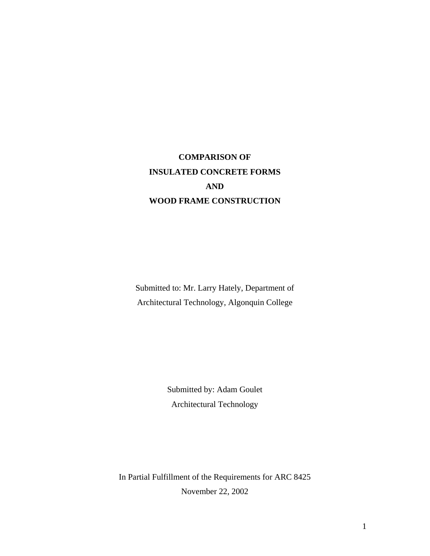# **COMPARISON OF INSULATED CONCRETE FORMS AND WOOD FRAME CONSTRUCTION**

Submitted to: Mr. Larry Hately, Department of Architectural Technology, Algonquin College

> Submitted by: Adam Goulet Architectural Technology

In Partial Fulfillment of the Requirements for ARC 8425 November 22, 2002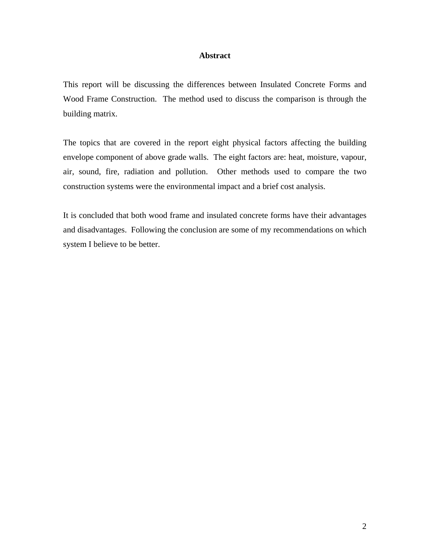#### **Abstract**

This report will be discussing the differences between Insulated Concrete Forms and Wood Frame Construction. The method used to discuss the comparison is through the building matrix.

The topics that are covered in the report eight physical factors affecting the building envelope component of above grade walls. The eight factors are: heat, moisture, vapour, air, sound, fire, radiation and pollution. Other methods used to compare the two construction systems were the environmental impact and a brief cost analysis.

It is concluded that both wood frame and insulated concrete forms have their advantages and disadvantages. Following the conclusion are some of my recommendations on which system I believe to be better.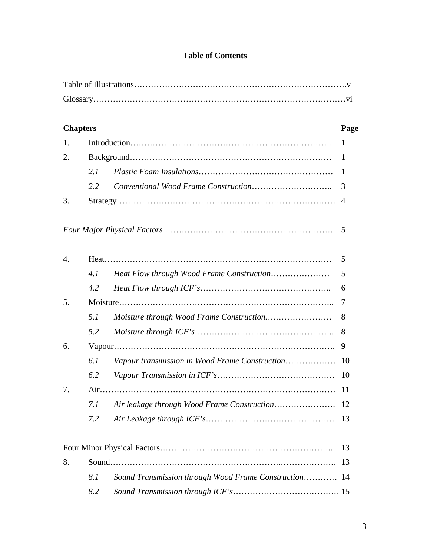## **Table of Contents**

| <b>Chapters</b>  |     |                                                    | Page           |
|------------------|-----|----------------------------------------------------|----------------|
| 1.               |     |                                                    | 1              |
| 2.               |     |                                                    | -1             |
|                  | 2.1 |                                                    | $\mathbf{1}$   |
|                  | 2.2 |                                                    | 3              |
| 3.               |     |                                                    | $\overline{4}$ |
|                  |     |                                                    | 5              |
| $\overline{4}$ . |     |                                                    | 5              |
|                  | 4.1 |                                                    | 5              |
|                  | 4.2 |                                                    | 6              |
| 5.               |     |                                                    | 7              |
|                  | 5.1 |                                                    | 8              |
|                  | 5.2 |                                                    | 8              |
| 6.               |     |                                                    |                |
|                  | 6.1 | Vapour transmission in Wood Frame Construction     | 10             |
|                  | 6.2 |                                                    | 10             |
| 7.               |     |                                                    |                |
|                  | 7.1 |                                                    | 12             |
|                  | 7.2 |                                                    | 13             |
|                  |     |                                                    | 13             |
| 8.               |     |                                                    | 13             |
|                  | 8.1 | Sound Transmission through Wood Frame Construction | -14            |
|                  | 8.2 |                                                    |                |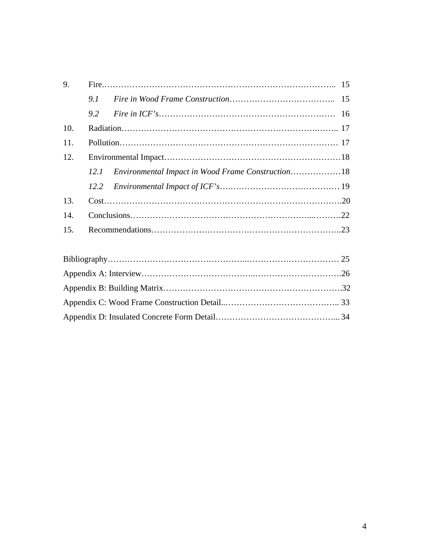|  |  | 12.1 Environmental Impact in Wood Frame Construction18 |
|--|--|--------------------------------------------------------|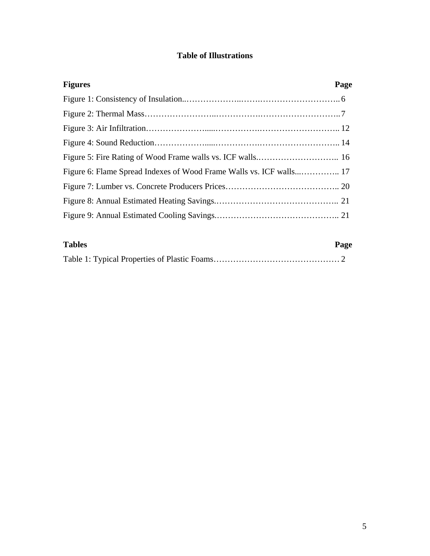## **Table of Illustrations**

| <b>Figures</b>                                                      | Page |
|---------------------------------------------------------------------|------|
|                                                                     |      |
|                                                                     |      |
|                                                                     |      |
|                                                                     |      |
|                                                                     |      |
| Figure 6: Flame Spread Indexes of Wood Frame Walls vs. ICF walls 17 |      |
|                                                                     |      |
|                                                                     |      |
|                                                                     |      |

| <b>Tables</b> | Page |
|---------------|------|
|               |      |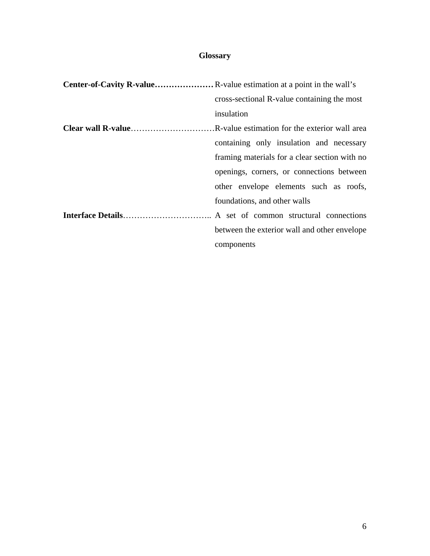## **Glossary**

| cross-sectional R-value containing the most   |  |  |
|-----------------------------------------------|--|--|
| insulation                                    |  |  |
|                                               |  |  |
| containing only insulation and necessary      |  |  |
| framing materials for a clear section with no |  |  |
| openings, corners, or connections between     |  |  |
| other envelope elements such as roofs,        |  |  |
| foundations, and other walls                  |  |  |
|                                               |  |  |
| between the exterior wall and other envelope  |  |  |
| components                                    |  |  |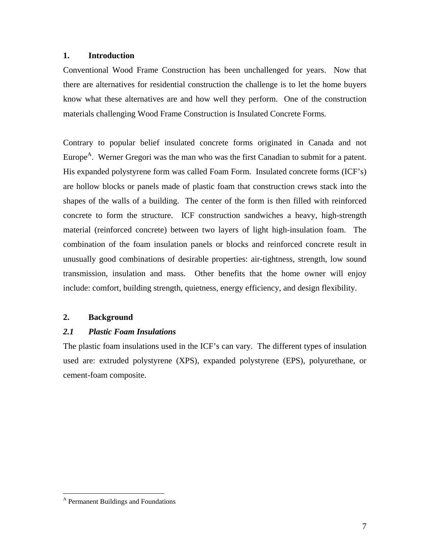## **1. Introduction**

Conventional Wood Frame Construction has been unchallenged for years. Now that there are alternatives for residential construction the challenge is to let the home buyers know what these alternatives are and how well they perform. One of the construction materials challenging Wood Frame Construction is Insulated Concrete Forms.

Contrary to popular belief insulated concrete forms originated in Canada and not Europe<sup>A</sup>. Werner Gregori was the man who was the first Canadian to submit for a patent. His expanded polystyrene form was called Foam Form. Insulated concrete forms (ICF's) are hollow blocks or panels made of plastic foam that construction crews stack into the shapes of the walls of a building. The center of the form is then filled with reinforced concrete to form the structure. ICF construction sandwiches a heavy, high-strength material (reinforced concrete) between two layers of light high-insulation foam. The combination of the foam insulation panels or blocks and reinforced concrete result in unusually good combinations of desirable properties: air-tightness, strength, low sound transmission, insulation and mass. Other benefits that the home owner will enjoy include: comfort, building strength, quietness, energy efficiency, and design flexibility.

## **2. Background**

## *2.1 Plastic Foam Insulations*

The plastic foam insulations used in the ICF's can vary. The different types of insulation used are: extruded polystyrene (XPS), expanded polystyrene (EPS), polyurethane, or cement-foam composite.

A Permanent Buildings and Foundations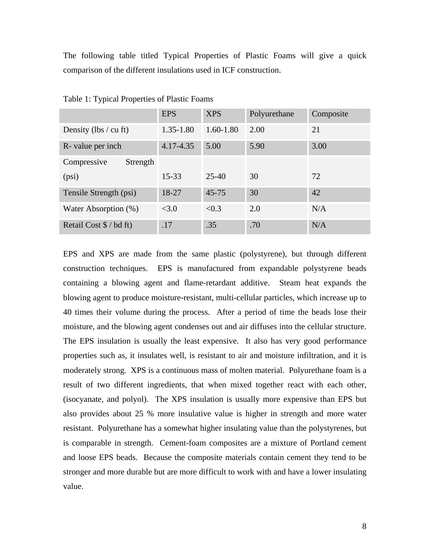The following table titled Typical Properties of Plastic Foams will give a quick comparison of the different insulations used in ICF construction.

|                                    | <b>EPS</b>    | <b>XPS</b>    | Polyurethane | Composite |
|------------------------------------|---------------|---------------|--------------|-----------|
| Density (lbs / cu ft)              | $1.35 - 1.80$ | $1.60 - 1.80$ | 2.00         | 21        |
| R- value per inch                  | 4.17-4.35     | 5.00          | 5.90         | 3.00      |
| Compressive<br>Strength            |               |               |              |           |
| (psi)                              | $15 - 33$     | $25 - 40$     | 30           | 72        |
| Tensile Strength (psi)             | 18-27         | $45 - 75$     | 30           | 42        |
| Water Absorption (%)               | <3.0          | < 0.3         | 2.0          | N/A       |
| Retail Cost $\frac{1}{2}$ / bd ft) | .17           | .35           | .70          | N/A       |

Table 1: Typical Properties of Plastic Foams

EPS and XPS are made from the same plastic (polystyrene), but through different construction techniques. EPS is manufactured from expandable polystyrene beads containing a blowing agent and flame-retardant additive. Steam heat expands the blowing agent to produce moisture-resistant, multi-cellular particles, which increase up to 40 times their volume during the process. After a period of time the beads lose their moisture, and the blowing agent condenses out and air diffuses into the cellular structure. The EPS insulation is usually the least expensive. It also has very good performance properties such as, it insulates well, is resistant to air and moisture infiltration, and it is moderately strong. XPS is a continuous mass of molten material. Polyurethane foam is a result of two different ingredients, that when mixed together react with each other, (isocyanate, and polyol). The XPS insulation is usually more expensive than EPS but also provides about 25 % more insulative value is higher in strength and more water resistant. Polyurethane has a somewhat higher insulating value than the polystyrenes, but is comparable in strength. Cement-foam composites are a mixture of Portland cement and loose EPS beads. Because the composite materials contain cement they tend to be stronger and more durable but are more difficult to work with and have a lower insulating value.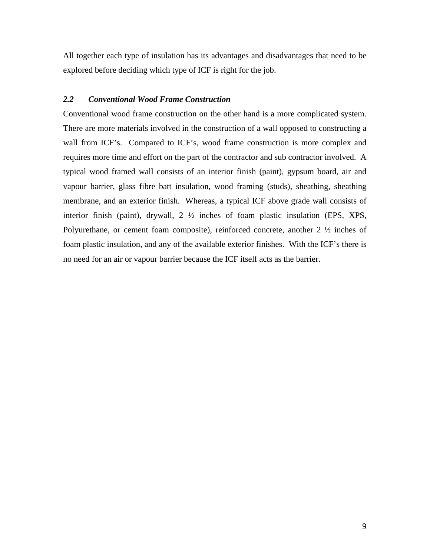All together each type of insulation has its advantages and disadvantages that need to be explored before deciding which type of ICF is right for the job.

## *2.2 Conventional Wood Frame Construction*

Conventional wood frame construction on the other hand is a more complicated system. There are more materials involved in the construction of a wall opposed to constructing a wall from ICF's. Compared to ICF's, wood frame construction is more complex and requires more time and effort on the part of the contractor and sub contractor involved. A typical wood framed wall consists of an interior finish (paint), gypsum board, air and vapour barrier, glass fibre batt insulation, wood framing (studs), sheathing, sheathing membrane, and an exterior finish. Whereas, a typical ICF above grade wall consists of interior finish (paint), drywall, 2 ½ inches of foam plastic insulation (EPS, XPS, Polyurethane, or cement foam composite), reinforced concrete, another 2 ½ inches of foam plastic insulation, and any of the available exterior finishes. With the ICF's there is no need for an air or vapour barrier because the ICF itself acts as the barrier.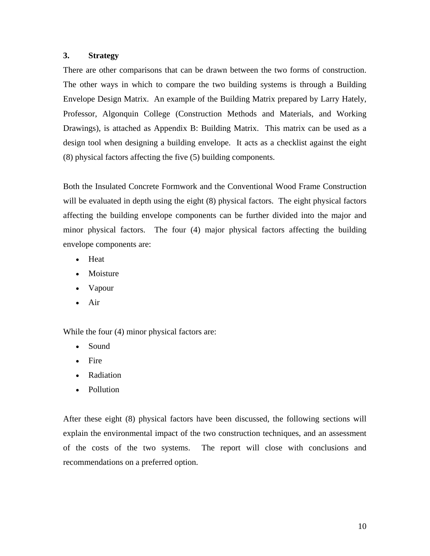## **3. Strategy**

There are other comparisons that can be drawn between the two forms of construction. The other ways in which to compare the two building systems is through a Building Envelope Design Matrix. An example of the Building Matrix prepared by Larry Hately, Professor, Algonquin College (Construction Methods and Materials, and Working Drawings), is attached as Appendix B: Building Matrix. This matrix can be used as a design tool when designing a building envelope. It acts as a checklist against the eight (8) physical factors affecting the five (5) building components.

Both the Insulated Concrete Formwork and the Conventional Wood Frame Construction will be evaluated in depth using the eight (8) physical factors. The eight physical factors affecting the building envelope components can be further divided into the major and minor physical factors. The four (4) major physical factors affecting the building envelope components are:

- Heat
- Moisture
- Vapour
- Air

While the four (4) minor physical factors are:

- Sound
- Fire
- Radiation
- Pollution

After these eight (8) physical factors have been discussed, the following sections will explain the environmental impact of the two construction techniques, and an assessment of the costs of the two systems. The report will close with conclusions and recommendations on a preferred option.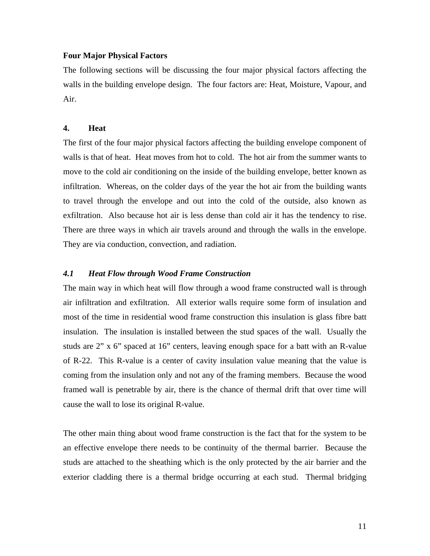## **Four Major Physical Factors**

The following sections will be discussing the four major physical factors affecting the walls in the building envelope design. The four factors are: Heat, Moisture, Vapour, and Air.

#### **4. Heat**

The first of the four major physical factors affecting the building envelope component of walls is that of heat. Heat moves from hot to cold. The hot air from the summer wants to move to the cold air conditioning on the inside of the building envelope, better known as infiltration. Whereas, on the colder days of the year the hot air from the building wants to travel through the envelope and out into the cold of the outside, also known as exfiltration. Also because hot air is less dense than cold air it has the tendency to rise. There are three ways in which air travels around and through the walls in the envelope. They are via conduction, convection, and radiation.

## *4.1 Heat Flow through Wood Frame Construction*

The main way in which heat will flow through a wood frame constructed wall is through air infiltration and exfiltration. All exterior walls require some form of insulation and most of the time in residential wood frame construction this insulation is glass fibre batt insulation. The insulation is installed between the stud spaces of the wall. Usually the studs are 2" x 6" spaced at 16" centers, leaving enough space for a batt with an R-value of R-22. This R-value is a center of cavity insulation value meaning that the value is coming from the insulation only and not any of the framing members. Because the wood framed wall is penetrable by air, there is the chance of thermal drift that over time will cause the wall to lose its original R-value.

The other main thing about wood frame construction is the fact that for the system to be an effective envelope there needs to be continuity of the thermal barrier. Because the studs are attached to the sheathing which is the only protected by the air barrier and the exterior cladding there is a thermal bridge occurring at each stud. Thermal bridging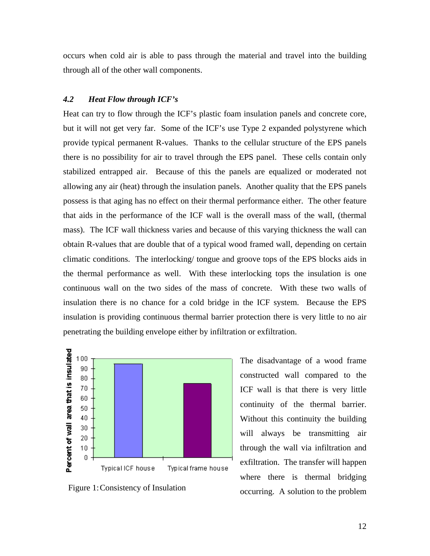occurs when cold air is able to pass through the material and travel into the building through all of the other wall components.

## *4.2 Heat Flow through ICF's*

Heat can try to flow through the ICF's plastic foam insulation panels and concrete core, but it will not get very far. Some of the ICF's use Type 2 expanded polystyrene which provide typical permanent R-values. Thanks to the cellular structure of the EPS panels there is no possibility for air to travel through the EPS panel. These cells contain only stabilized entrapped air. Because of this the panels are equalized or moderated not allowing any air (heat) through the insulation panels. Another quality that the EPS panels possess is that aging has no effect on their thermal performance either. The other feature that aids in the performance of the ICF wall is the overall mass of the wall, (thermal mass). The ICF wall thickness varies and because of this varying thickness the wall can obtain R-values that are double that of a typical wood framed wall, depending on certain climatic conditions. The interlocking/ tongue and groove tops of the EPS blocks aids in the thermal performance as well. With these interlocking tops the insulation is one continuous wall on the two sides of the mass of concrete. With these two walls of insulation there is no chance for a cold bridge in the ICF system. Because the EPS insulation is providing continuous thermal barrier protection there is very little to no air penetrating the building envelope either by infiltration or exfiltration.



The disadvantage of a wood frame constructed wall compared to the ICF wall is that there is very little continuity of the thermal barrier. Without this continuity the building will always be transmitting air through the wall via infiltration and exfiltration. The transfer will happen where there is thermal bridging Figure 1: Consistency of Insulation occurring. A solution to the problem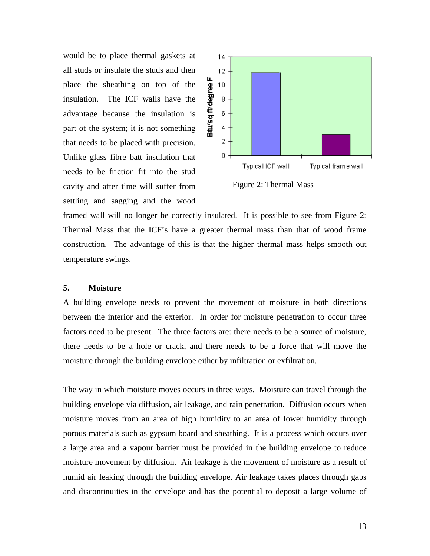would be to place thermal gaskets at all studs or insulate the studs and then place the sheathing on top of the insulation. The ICF walls have the advantage because the insulation is part of the system; it is not something that needs to be placed with precision. Unlike glass fibre batt insulation that needs to be friction fit into the stud cavity and after time will suffer from settling and sagging and the wood



Figure 2: Thermal Mass

framed wall will no longer be correctly insulated. It is possible to see from Figure 2: Thermal Mass that the ICF's have a greater thermal mass than that of wood frame construction. The advantage of this is that the higher thermal mass helps smooth out temperature swings.

## **5. Moisture**

A building envelope needs to prevent the movement of moisture in both directions between the interior and the exterior. In order for moisture penetration to occur three factors need to be present. The three factors are: there needs to be a source of moisture, there needs to be a hole or crack, and there needs to be a force that will move the moisture through the building envelope either by infiltration or exfiltration.

The way in which moisture moves occurs in three ways. Moisture can travel through the building envelope via diffusion, air leakage, and rain penetration. Diffusion occurs when moisture moves from an area of high humidity to an area of lower humidity through porous materials such as gypsum board and sheathing. It is a process which occurs over a large area and a vapour barrier must be provided in the building envelope to reduce moisture movement by diffusion. Air leakage is the movement of moisture as a result of humid air leaking through the building envelope. Air leakage takes places through gaps and discontinuities in the envelope and has the potential to deposit a large volume of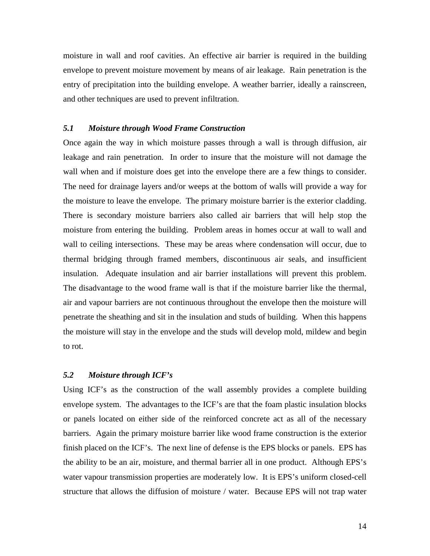moisture in wall and roof cavities. An effective air barrier is required in the building envelope to prevent moisture movement by means of air leakage. Rain penetration is the entry of precipitation into the building envelope. A weather barrier, ideally a rainscreen, and other techniques are used to prevent infiltration.

## *5.1 Moisture through Wood Frame Construction*

Once again the way in which moisture passes through a wall is through diffusion, air leakage and rain penetration. In order to insure that the moisture will not damage the wall when and if moisture does get into the envelope there are a few things to consider. The need for drainage layers and/or weeps at the bottom of walls will provide a way for the moisture to leave the envelope. The primary moisture barrier is the exterior cladding. There is secondary moisture barriers also called air barriers that will help stop the moisture from entering the building. Problem areas in homes occur at wall to wall and wall to ceiling intersections. These may be areas where condensation will occur, due to thermal bridging through framed members, discontinuous air seals, and insufficient insulation. Adequate insulation and air barrier installations will prevent this problem. The disadvantage to the wood frame wall is that if the moisture barrier like the thermal, air and vapour barriers are not continuous throughout the envelope then the moisture will penetrate the sheathing and sit in the insulation and studs of building. When this happens the moisture will stay in the envelope and the studs will develop mold, mildew and begin to rot.

#### *5.2 Moisture through ICF's*

Using ICF's as the construction of the wall assembly provides a complete building envelope system. The advantages to the ICF's are that the foam plastic insulation blocks or panels located on either side of the reinforced concrete act as all of the necessary barriers. Again the primary moisture barrier like wood frame construction is the exterior finish placed on the ICF's. The next line of defense is the EPS blocks or panels. EPS has the ability to be an air, moisture, and thermal barrier all in one product. Although EPS's water vapour transmission properties are moderately low. It is EPS's uniform closed-cell structure that allows the diffusion of moisture / water. Because EPS will not trap water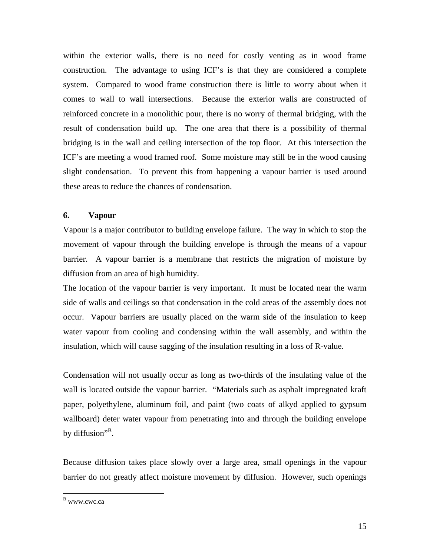within the exterior walls, there is no need for costly venting as in wood frame construction. The advantage to using ICF's is that they are considered a complete system. Compared to wood frame construction there is little to worry about when it comes to wall to wall intersections. Because the exterior walls are constructed of reinforced concrete in a monolithic pour, there is no worry of thermal bridging, with the result of condensation build up. The one area that there is a possibility of thermal bridging is in the wall and ceiling intersection of the top floor. At this intersection the ICF's are meeting a wood framed roof. Some moisture may still be in the wood causing slight condensation. To prevent this from happening a vapour barrier is used around these areas to reduce the chances of condensation.

#### **6. Vapour**

Vapour is a major contributor to building envelope failure. The way in which to stop the movement of vapour through the building envelope is through the means of a vapour barrier. A vapour barrier is a membrane that restricts the migration of moisture by diffusion from an area of high humidity.

The location of the vapour barrier is very important. It must be located near the warm side of walls and ceilings so that condensation in the cold areas of the assembly does not occur. Vapour barriers are usually placed on the warm side of the insulation to keep water vapour from cooling and condensing within the wall assembly, and within the insulation, which will cause sagging of the insulation resulting in a loss of R-value.

Condensation will not usually occur as long as two-thirds of the insulating value of the wall is located outside the vapour barrier. "Materials such as asphalt impregnated kraft paper, polyethylene, aluminum foil, and paint (two coats of alkyd applied to gypsum wallboard) deter water vapour from penetrating into and through the building envelope by diffusion"<sup>B</sup>.

Because diffusion takes place slowly over a large area, small openings in the vapour barrier do not greatly affect moisture movement by diffusion. However, such openings

B www.cwc.ca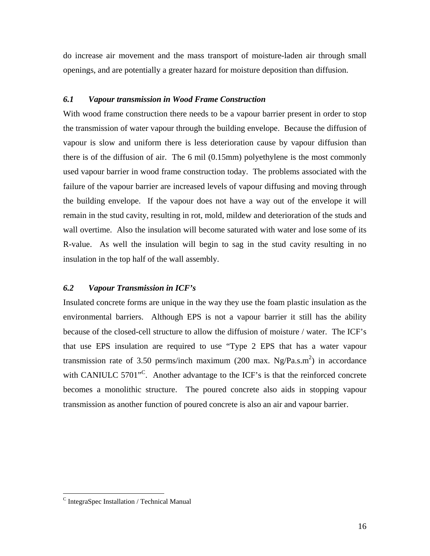do increase air movement and the mass transport of moisture-laden air through small openings, and are potentially a greater hazard for moisture deposition than diffusion.

## *6.1 Vapour transmission in Wood Frame Construction*

With wood frame construction there needs to be a vapour barrier present in order to stop the transmission of water vapour through the building envelope. Because the diffusion of vapour is slow and uniform there is less deterioration cause by vapour diffusion than there is of the diffusion of air. The 6 mil (0.15mm) polyethylene is the most commonly used vapour barrier in wood frame construction today. The problems associated with the failure of the vapour barrier are increased levels of vapour diffusing and moving through the building envelope. If the vapour does not have a way out of the envelope it will remain in the stud cavity, resulting in rot, mold, mildew and deterioration of the studs and wall overtime. Also the insulation will become saturated with water and lose some of its R-value. As well the insulation will begin to sag in the stud cavity resulting in no insulation in the top half of the wall assembly.

## *6.2 Vapour Transmission in ICF's*

Insulated concrete forms are unique in the way they use the foam plastic insulation as the environmental barriers. Although EPS is not a vapour barrier it still has the ability because of the closed-cell structure to allow the diffusion of moisture / water. The ICF's that use EPS insulation are required to use "Type 2 EPS that has a water vapour transmission rate of 3.50 perms/inch maximum (200 max.  $Ng/Pa.s.m<sup>2</sup>$ ) in accordance with CANIULC  $5701^{\text{°C}}$ . Another advantage to the ICF's is that the reinforced concrete becomes a monolithic structure. The poured concrete also aids in stopping vapour transmission as another function of poured concrete is also an air and vapour barrier.

 $C$  IntegraSpec Installation / Technical Manual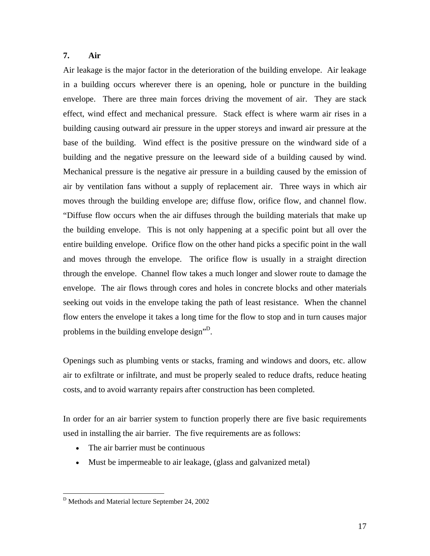## **7. Air**

Air leakage is the major factor in the deterioration of the building envelope. Air leakage in a building occurs wherever there is an opening, hole or puncture in the building envelope. There are three main forces driving the movement of air. They are stack effect, wind effect and mechanical pressure. Stack effect is where warm air rises in a building causing outward air pressure in the upper storeys and inward air pressure at the base of the building. Wind effect is the positive pressure on the windward side of a building and the negative pressure on the leeward side of a building caused by wind. Mechanical pressure is the negative air pressure in a building caused by the emission of air by ventilation fans without a supply of replacement air. Three ways in which air moves through the building envelope are; diffuse flow, orifice flow, and channel flow. "Diffuse flow occurs when the air diffuses through the building materials that make up the building envelope. This is not only happening at a specific point but all over the entire building envelope. Orifice flow on the other hand picks a specific point in the wall and moves through the envelope. The orifice flow is usually in a straight direction through the envelope. Channel flow takes a much longer and slower route to damage the envelope. The air flows through cores and holes in concrete blocks and other materials seeking out voids in the envelope taking the path of least resistance. When the channel flow enters the envelope it takes a long time for the flow to stop and in turn causes major problems in the building envelope design"<sup>D</sup>.

Openings such as plumbing vents or stacks, framing and windows and doors, etc. allow air to exfiltrate or infiltrate, and must be properly sealed to reduce drafts, reduce heating costs, and to avoid warranty repairs after construction has been completed.

In order for an air barrier system to function properly there are five basic requirements used in installing the air barrier. The five requirements are as follows:

- The air barrier must be continuous
- Must be impermeable to air leakage, (glass and galvanized metal)

D Methods and Material lecture September 24, 2002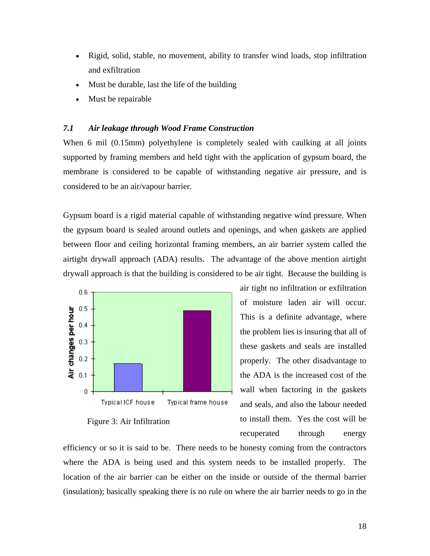- Rigid, solid, stable, no movement, ability to transfer wind loads, stop infiltration and exfiltration
- Must be durable, last the life of the building
- Must be repairable

## *7.1 Air leakage through Wood Frame Construction*

When 6 mil (0.15mm) polyethylene is completely sealed with caulking at all joints supported by framing members and held tight with the application of gypsum board, the membrane is considered to be capable of withstanding negative air pressure, and is considered to be an air/vapour barrier.

Gypsum board is a rigid material capable of withstanding negative wind pressure. When the gypsum board is sealed around outlets and openings, and when gaskets are applied between floor and ceiling horizontal framing members, an air barrier system called the airtight drywall approach (ADA) results. The advantage of the above mention airtight drywall approach is that the building is considered to be air tight. Because the building is



Figure 3: Air Infiltration

air tight no infiltration or exfiltration of moisture laden air will occur. This is a definite advantage, where the problem lies is insuring that all of these gaskets and seals are installed properly. The other disadvantage to the ADA is the increased cost of the wall when factoring in the gaskets and seals, and also the labour needed to install them. Yes the cost will be recuperated through energy

efficiency or so it is said to be. There needs to be honesty coming from the contractors where the ADA is being used and this system needs to be installed properly. The location of the air barrier can be either on the inside or outside of the thermal barrier (insulation); basically speaking there is no rule on where the air barrier needs to go in the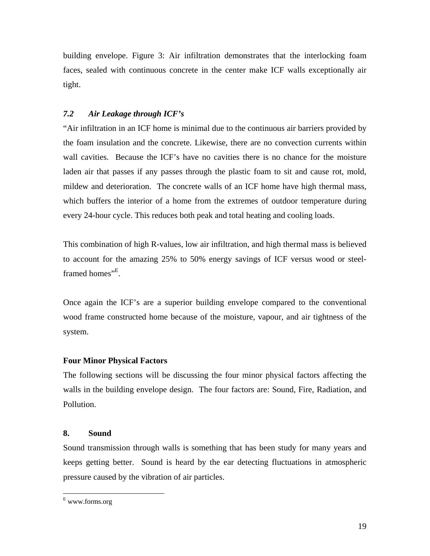building envelope. Figure 3: Air infiltration demonstrates that the interlocking foam faces, sealed with continuous concrete in the center make ICF walls exceptionally air tight.

## *7.2 Air Leakage through ICF's*

"Air infiltration in an ICF home is minimal due to the continuous air barriers provided by the foam insulation and the concrete. Likewise, there are no convection currents within wall cavities. Because the ICF's have no cavities there is no chance for the moisture laden air that passes if any passes through the plastic foam to sit and cause rot, mold, mildew and deterioration. The concrete walls of an ICF home have high thermal mass, which buffers the interior of a home from the extremes of outdoor temperature during every 24-hour cycle. This reduces both peak and total heating and cooling loads.

This combination of high R-values, low air infiltration, and high thermal mass is believed to account for the amazing 25% to 50% energy savings of ICF versus wood or steelframed homes"<sup>E</sup>.

Once again the ICF's are a superior building envelope compared to the conventional wood frame constructed home because of the moisture, vapour, and air tightness of the system.

## **Four Minor Physical Factors**

The following sections will be discussing the four minor physical factors affecting the walls in the building envelope design. The four factors are: Sound, Fire, Radiation, and Pollution.

## **8. Sound**

Sound transmission through walls is something that has been study for many years and keeps getting better. Sound is heard by the ear detecting fluctuations in atmospheric pressure caused by the vibration of air particles.

E www.forms.org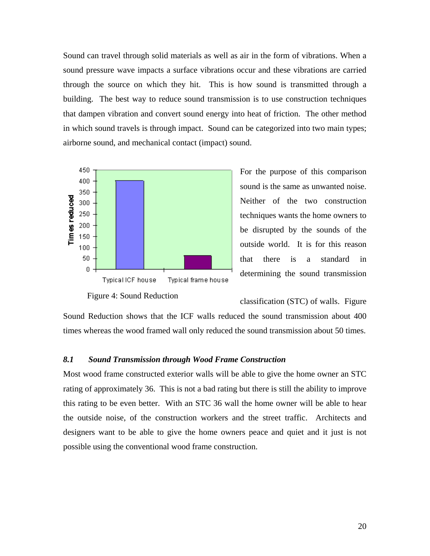Sound can travel through solid materials as well as air in the form of vibrations. When a sound pressure wave impacts a surface vibrations occur and these vibrations are carried through the source on which they hit. This is how sound is transmitted through a building. The best way to reduce sound transmission is to use construction techniques that dampen vibration and convert sound energy into heat of friction. The other method in which sound travels is through impact. Sound can be categorized into two main types; airborne sound, and mechanical contact (impact) sound.



Figure 4: Sound Reduction

For the purpose of this comparison sound is the same as unwanted noise. Neither of the two construction techniques wants the home owners to be disrupted by the sounds of the outside world. It is for this reason that there is a standard in determining the sound transmission

classification (STC) of walls. Figure

Sound Reduction shows that the ICF walls reduced the sound transmission about 400 times whereas the wood framed wall only reduced the sound transmission about 50 times.

## *8.1 Sound Transmission through Wood Frame Construction*

Most wood frame constructed exterior walls will be able to give the home owner an STC rating of approximately 36. This is not a bad rating but there is still the ability to improve this rating to be even better. With an STC 36 wall the home owner will be able to hear the outside noise, of the construction workers and the street traffic. Architects and designers want to be able to give the home owners peace and quiet and it just is not possible using the conventional wood frame construction.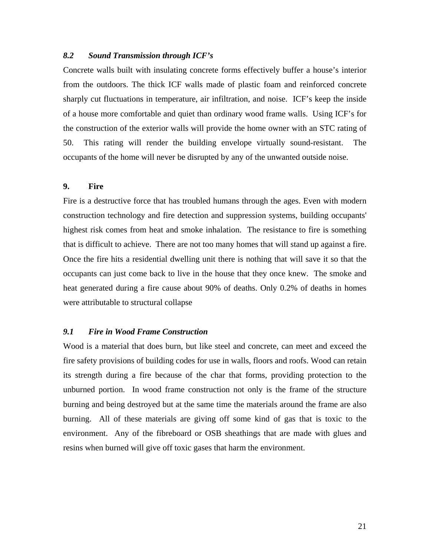## *8.2 Sound Transmission through ICF's*

Concrete walls built with insulating concrete forms effectively buffer a house's interior from the outdoors. The thick ICF walls made of plastic foam and reinforced concrete sharply cut fluctuations in temperature, air infiltration, and noise. ICF's keep the inside of a house more comfortable and quiet than ordinary wood frame walls. Using ICF's for the construction of the exterior walls will provide the home owner with an STC rating of 50. This rating will render the building envelope virtually sound-resistant. The occupants of the home will never be disrupted by any of the unwanted outside noise.

## **9. Fire**

Fire is a destructive force that has troubled humans through the ages. Even with modern construction technology and fire detection and suppression systems, building occupants' highest risk comes from heat and smoke inhalation. The resistance to fire is something that is difficult to achieve. There are not too many homes that will stand up against a fire. Once the fire hits a residential dwelling unit there is nothing that will save it so that the occupants can just come back to live in the house that they once knew. The smoke and heat generated during a fire cause about 90% of deaths. Only 0.2% of deaths in homes were attributable to structural collapse

## *9.1 Fire in Wood Frame Construction*

Wood is a material that does burn, but like steel and concrete, can meet and exceed the fire safety provisions of building codes for use in walls, floors and roofs. Wood can retain its strength during a fire because of the char that forms, providing protection to the unburned portion. In wood frame construction not only is the frame of the structure burning and being destroyed but at the same time the materials around the frame are also burning. All of these materials are giving off some kind of gas that is toxic to the environment. Any of the fibreboard or OSB sheathings that are made with glues and resins when burned will give off toxic gases that harm the environment.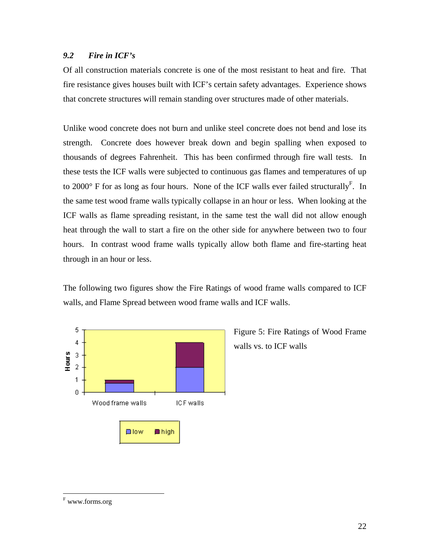## *9.2 Fire in ICF's*

Of all construction materials concrete is one of the most resistant to heat and fire. That fire resistance gives houses built with ICF's certain safety advantages. Experience shows that concrete structures will remain standing over structures made of other materials.

Unlike wood concrete does not burn and unlike steel concrete does not bend and lose its strength. Concrete does however break down and begin spalling when exposed to thousands of degrees Fahrenheit. This has been confirmed through fire wall tests. In these tests the ICF walls were subjected to continuous gas flames and temperatures of up to 2000 $\degree$  F for as long as four hours. None of the ICF walls ever failed structurally<sup>F</sup>. In the same test wood frame walls typically collapse in an hour or less. When looking at the ICF walls as flame spreading resistant, in the same test the wall did not allow enough heat through the wall to start a fire on the other side for anywhere between two to four hours. In contrast wood frame walls typically allow both flame and fire-starting heat through in an hour or less.

The following two figures show the Fire Ratings of wood frame walls compared to ICF walls, and Flame Spread between wood frame walls and ICF walls.



Figure 5: Fire Ratings of Wood Frame walls vs. to ICF walls

 $^{\rm F}$ www.forms.org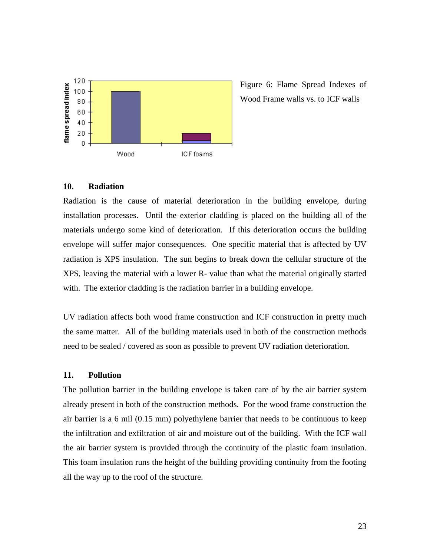

Figure 6: Flame Spread Indexes of Wood Frame walls vs. to ICF walls

#### **10. Radiation**

Radiation is the cause of material deterioration in the building envelope, during installation processes. Until the exterior cladding is placed on the building all of the materials undergo some kind of deterioration. If this deterioration occurs the building envelope will suffer major consequences. One specific material that is affected by UV radiation is XPS insulation. The sun begins to break down the cellular structure of the XPS, leaving the material with a lower R- value than what the material originally started with. The exterior cladding is the radiation barrier in a building envelope.

UV radiation affects both wood frame construction and ICF construction in pretty much the same matter. All of the building materials used in both of the construction methods need to be sealed / covered as soon as possible to prevent UV radiation deterioration.

#### **11. Pollution**

The pollution barrier in the building envelope is taken care of by the air barrier system already present in both of the construction methods. For the wood frame construction the air barrier is a 6 mil (0.15 mm) polyethylene barrier that needs to be continuous to keep the infiltration and exfiltration of air and moisture out of the building. With the ICF wall the air barrier system is provided through the continuity of the plastic foam insulation. This foam insulation runs the height of the building providing continuity from the footing all the way up to the roof of the structure.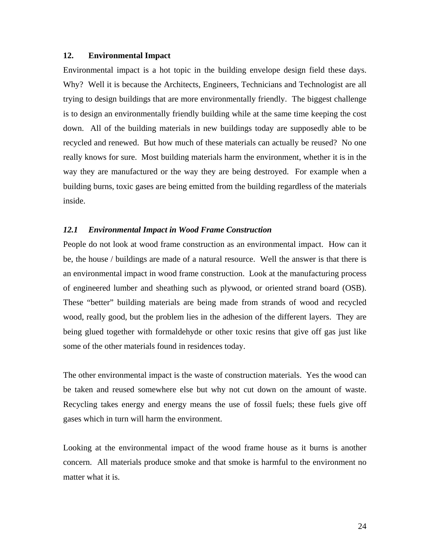## **12. Environmental Impact**

Environmental impact is a hot topic in the building envelope design field these days. Why? Well it is because the Architects, Engineers, Technicians and Technologist are all trying to design buildings that are more environmentally friendly. The biggest challenge is to design an environmentally friendly building while at the same time keeping the cost down. All of the building materials in new buildings today are supposedly able to be recycled and renewed. But how much of these materials can actually be reused? No one really knows for sure. Most building materials harm the environment, whether it is in the way they are manufactured or the way they are being destroyed. For example when a building burns, toxic gases are being emitted from the building regardless of the materials inside.

#### *12.1 Environmental Impact in Wood Frame Construction*

People do not look at wood frame construction as an environmental impact. How can it be, the house / buildings are made of a natural resource. Well the answer is that there is an environmental impact in wood frame construction. Look at the manufacturing process of engineered lumber and sheathing such as plywood, or oriented strand board (OSB). These "better" building materials are being made from strands of wood and recycled wood, really good, but the problem lies in the adhesion of the different layers. They are being glued together with formaldehyde or other toxic resins that give off gas just like some of the other materials found in residences today.

The other environmental impact is the waste of construction materials. Yes the wood can be taken and reused somewhere else but why not cut down on the amount of waste. Recycling takes energy and energy means the use of fossil fuels; these fuels give off gases which in turn will harm the environment.

Looking at the environmental impact of the wood frame house as it burns is another concern. All materials produce smoke and that smoke is harmful to the environment no matter what it is.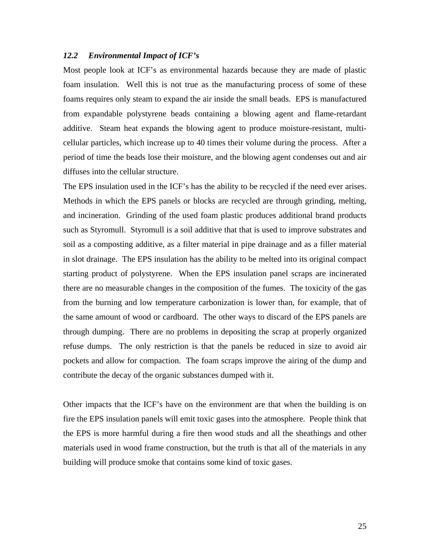#### *12.2 Environmental Impact of ICF's*

Most people look at ICF's as environmental hazards because they are made of plastic foam insulation. Well this is not true as the manufacturing process of some of these foams requires only steam to expand the air inside the small beads. EPS is manufactured from expandable polystyrene beads containing a blowing agent and flame-retardant additive. Steam heat expands the blowing agent to produce moisture-resistant, multicellular particles, which increase up to 40 times their volume during the process. After a period of time the beads lose their moisture, and the blowing agent condenses out and air diffuses into the cellular structure.

The EPS insulation used in the ICF's has the ability to be recycled if the need ever arises. Methods in which the EPS panels or blocks are recycled are through grinding, melting, and incineration. Grinding of the used foam plastic produces additional brand products such as Styromull. Styromull is a soil additive that that is used to improve substrates and soil as a composting additive, as a filter material in pipe drainage and as a filler material in slot drainage. The EPS insulation has the ability to be melted into its original compact starting product of polystyrene. When the EPS insulation panel scraps are incinerated there are no measurable changes in the composition of the fumes. The toxicity of the gas from the burning and low temperature carbonization is lower than, for example, that of the same amount of wood or cardboard. The other ways to discard of the EPS panels are through dumping. There are no problems in depositing the scrap at properly organized refuse dumps. The only restriction is that the panels be reduced in size to avoid air pockets and allow for compaction. The foam scraps improve the airing of the dump and contribute the decay of the organic substances dumped with it.

Other impacts that the ICF's have on the environment are that when the building is on fire the EPS insulation panels will emit toxic gases into the atmosphere. People think that the EPS is more harmful during a fire then wood studs and all the sheathings and other materials used in wood frame construction, but the truth is that all of the materials in any building will produce smoke that contains some kind of toxic gases.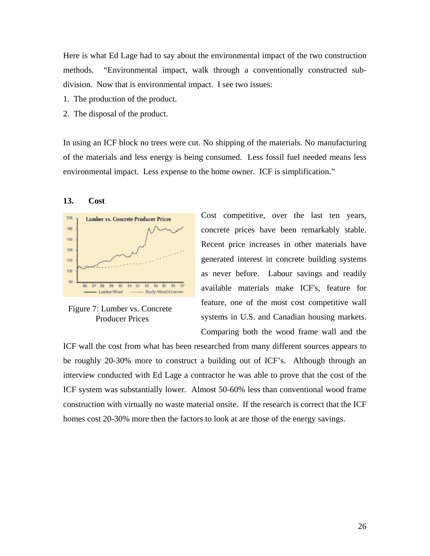Here is what Ed Lage had to say about the environmental impact of the two construction methods. "Environmental impact, walk through a conventionally constructed subdivision. Now that is environmental impact. I see two issues:

- 1. The production of the product.
- 2. The disposal of the product.

In using an ICF block no trees were cut. No shipping of the materials. No manufacturing of the materials and less energy is being consumed. Less fossil fuel needed means less environmental impact. Less expense to the home owner. ICF is simplification."

## **13. Cost**





Cost competitive, over the last ten years, concrete prices have been remarkably stable. Recent price increases in other materials have generated interest in concrete building systems as never before. Labour savings and readily available materials make ICF's, feature for feature, one of the most cost competitive wall systems in U.S. and Canadian housing markets. Comparing both the wood frame wall and the

ICF wall the cost from what has been researched from many different sources appears to be roughly 20-30% more to construct a building out of ICF's. Although through an interview conducted with Ed Lage a contractor he was able to prove that the cost of the ICF system was substantially lower. Almost 50-60% less than conventional wood frame construction with virtually no waste material onsite. If the research is correct that the ICF homes cost 20-30% more then the factors to look at are those of the energy savings.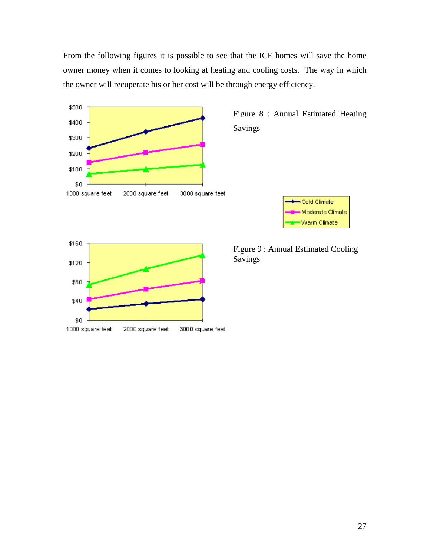From the following figures it is possible to see that the ICF homes will save the home owner money when it comes to looking at heating and cooling costs. The way in which the owner will recuperate his or her cost will be through energy efficiency.



Figure 8 : Annual Estimated Heating Savings





Figure 9 : Annual Estimated Cooling Savings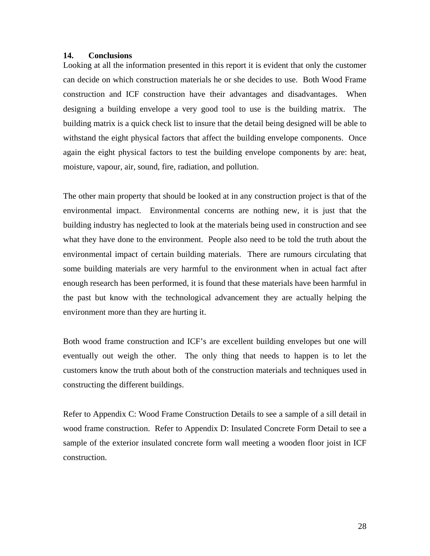#### **14. Conclusions**

Looking at all the information presented in this report it is evident that only the customer can decide on which construction materials he or she decides to use. Both Wood Frame construction and ICF construction have their advantages and disadvantages. When designing a building envelope a very good tool to use is the building matrix. The building matrix is a quick check list to insure that the detail being designed will be able to withstand the eight physical factors that affect the building envelope components. Once again the eight physical factors to test the building envelope components by are: heat, moisture, vapour, air, sound, fire, radiation, and pollution.

The other main property that should be looked at in any construction project is that of the environmental impact. Environmental concerns are nothing new, it is just that the building industry has neglected to look at the materials being used in construction and see what they have done to the environment. People also need to be told the truth about the environmental impact of certain building materials. There are rumours circulating that some building materials are very harmful to the environment when in actual fact after enough research has been performed, it is found that these materials have been harmful in the past but know with the technological advancement they are actually helping the environment more than they are hurting it.

Both wood frame construction and ICF's are excellent building envelopes but one will eventually out weigh the other. The only thing that needs to happen is to let the customers know the truth about both of the construction materials and techniques used in constructing the different buildings.

Refer to Appendix C: Wood Frame Construction Details to see a sample of a sill detail in wood frame construction. Refer to Appendix D: Insulated Concrete Form Detail to see a sample of the exterior insulated concrete form wall meeting a wooden floor joist in ICF construction.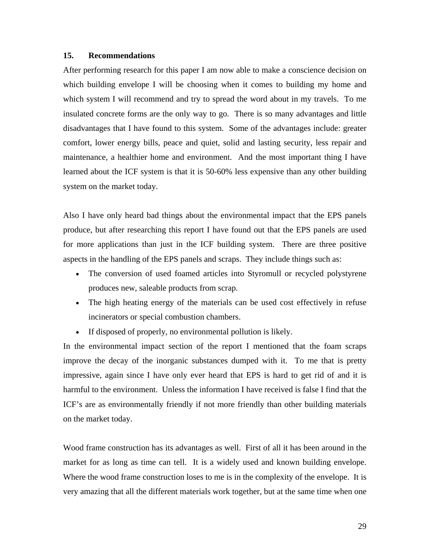## **15. Recommendations**

After performing research for this paper I am now able to make a conscience decision on which building envelope I will be choosing when it comes to building my home and which system I will recommend and try to spread the word about in my travels. To me insulated concrete forms are the only way to go. There is so many advantages and little disadvantages that I have found to this system. Some of the advantages include: greater comfort, lower energy bills, peace and quiet, solid and lasting security, less repair and maintenance, a healthier home and environment. And the most important thing I have learned about the ICF system is that it is 50-60% less expensive than any other building system on the market today.

Also I have only heard bad things about the environmental impact that the EPS panels produce, but after researching this report I have found out that the EPS panels are used for more applications than just in the ICF building system. There are three positive aspects in the handling of the EPS panels and scraps. They include things such as:

- The conversion of used foamed articles into Styromull or recycled polystyrene produces new, saleable products from scrap.
- The high heating energy of the materials can be used cost effectively in refuse incinerators or special combustion chambers.
- If disposed of properly, no environmental pollution is likely.

In the environmental impact section of the report I mentioned that the foam scraps improve the decay of the inorganic substances dumped with it. To me that is pretty impressive, again since I have only ever heard that EPS is hard to get rid of and it is harmful to the environment. Unless the information I have received is false I find that the ICF's are as environmentally friendly if not more friendly than other building materials on the market today.

Wood frame construction has its advantages as well. First of all it has been around in the market for as long as time can tell. It is a widely used and known building envelope. Where the wood frame construction loses to me is in the complexity of the envelope. It is very amazing that all the different materials work together, but at the same time when one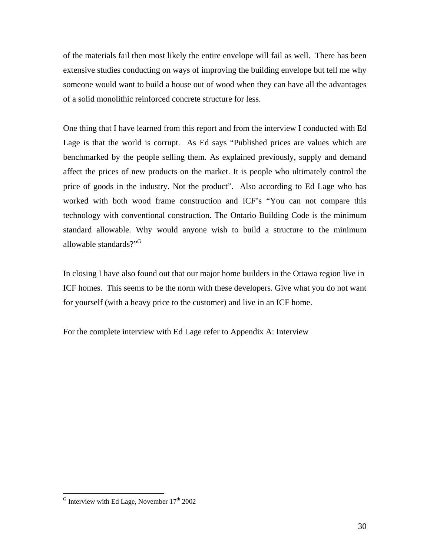of the materials fail then most likely the entire envelope will fail as well. There has been extensive studies conducting on ways of improving the building envelope but tell me why someone would want to build a house out of wood when they can have all the advantages of a solid monolithic reinforced concrete structure for less.

One thing that I have learned from this report and from the interview I conducted with Ed Lage is that the world is corrupt. As Ed says "Published prices are values which are benchmarked by the people selling them. As explained previously, supply and demand affect the prices of new products on the market. It is people who ultimately control the price of goods in the industry. Not the product". Also according to Ed Lage who has worked with both wood frame construction and ICF's "You can not compare this technology with conventional construction. The Ontario Building Code is the minimum standard allowable. Why would anyone wish to build a structure to the minimum allowable standards?"<sup>G</sup>

In closing I have also found out that our major home builders in the Ottawa region live in ICF homes. This seems to be the norm with these developers. Give what you do not want for yourself (with a heavy price to the customer) and live in an ICF home.

For the complete interview with Ed Lage refer to Appendix A: Interview

 $<sup>G</sup>$  Interview with Ed Lage, November  $17<sup>th</sup>$  2002</sup>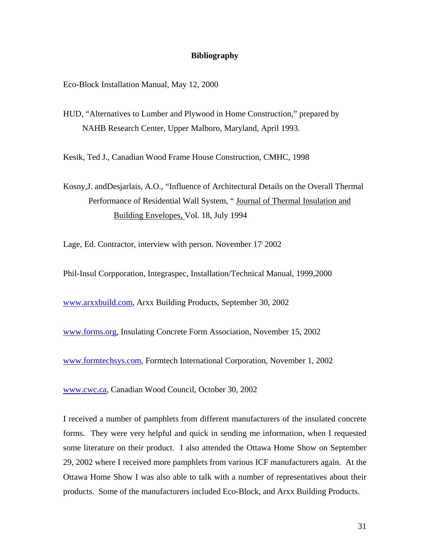#### **Bibliography**

Eco-Block Installation Manual, May 12, 2000

HUD, "Alternatives to Lumber and Plywood in Home Construction," prepared by NAHB Research Center, Upper Malboro, Maryland, April 1993.

Kesik, Ted J., Canadian Wood Frame House Construction, CMHC, 1998

Kosny,J. andDesjarlais, A.O., "Influence of Architectural Details on the Overall Thermal Performance of Residential Wall System, " Journal of Thermal Insulation and Building Envelopes, Vol. 18, July 1994

Lage, Ed. Contractor, interview with person. November 17 2002

Phil-Insul Corpporation, Integraspec, Installation/Technical Manual, 1999,2000

[www.arxxbuild.com,](http://www.arxxbuild.com/) Arxx Building Products, September 30, 2002

[www.forms.org,](http://www.forms.org/) Insulating Concrete Form Association, November 15, 2002

[www.formtechsys.com,](http://www.formtechsys.com/) Formtech International Corporation, November 1, 2002

[www.cwc.ca,](http://www.cwc.ca/) Canadian Wood Council, October 30, 2002

I received a number of pamphlets from different manufacturers of the insulated concrete forms. They were very helpful and quick in sending me information, when I requested some literature on their product. I also attended the Ottawa Home Show on September 29, 2002 where I received more pamphlets from various ICF manufacturers again. At the Ottawa Home Show I was also able to talk with a number of representatives about their products. Some of the manufacturers included Eco-Block, and Arxx Building Products.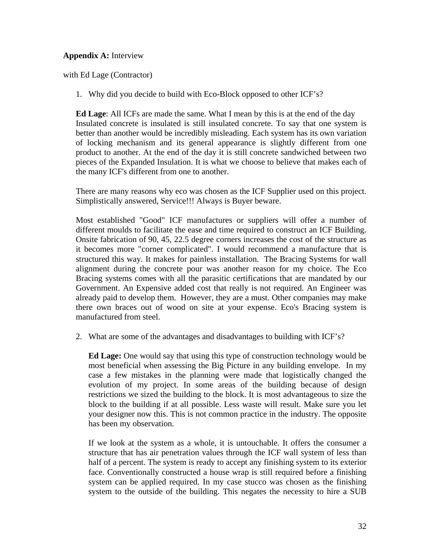## **Appendix A:** Interview

with Ed Lage (Contractor)

1. Why did you decide to build with Eco-Block opposed to other ICF's?

**Ed Lage**: All ICFs are made the same. What I mean by this is at the end of the day Insulated concrete is insulated is still insulated concrete. To say that one system is better than another would be incredibly misleading. Each system has its own variation of locking mechanism and its general appearance is slightly different from one product to another. At the end of the day it is still concrete sandwiched between two pieces of the Expanded Insulation. It is what we choose to believe that makes each of the many ICF's different from one to another.

There are many reasons why eco was chosen as the ICF Supplier used on this project. Simplistically answered, Service!!! Always is Buyer beware.

Most established "Good" ICF manufactures or suppliers will offer a number of different moulds to facilitate the ease and time required to construct an ICF Building. Onsite fabrication of 90, 45, 22.5 degree corners increases the cost of the structure as it becomes more "corner complicated". I would recommend a manufacture that is structured this way. It makes for painless installation. The Bracing Systems for wall alignment during the concrete pour was another reason for my choice. The Eco Bracing systems comes with all the parasitic certifications that are mandated by our Government. An Expensive added cost that really is not required. An Engineer was already paid to develop them. However, they are a must. Other companies may make there own braces out of wood on site at your expense. Eco's Bracing system is manufactured from steel.

2. What are some of the advantages and disadvantages to building with ICF's?

**Ed Lage:** One would say that using this type of construction technology would be most beneficial when assessing the Big Picture in any building envelope. In my case a few mistakes in the planning were made that logistically changed the evolution of my project. In some areas of the building because of design restrictions we sized the building to the block. It is most advantageous to size the block to the building if at all possible. Less waste will result. Make sure you let your designer now this. This is not common practice in the industry. The opposite has been my observation.

If we look at the system as a whole, it is untouchable. It offers the consumer a structure that has air penetration values through the ICF wall system of less than half of a percent. The system is ready to accept any finishing system to its exterior face. Conventionally constructed a house wrap is still required before a finishing system can be applied required. In my case stucco was chosen as the finishing system to the outside of the building. This negates the necessity to hire a SUB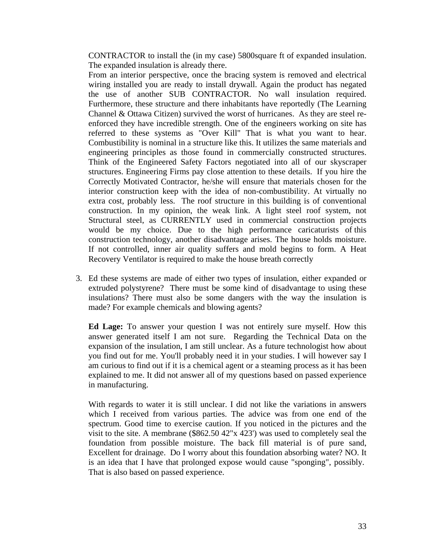CONTRACTOR to install the (in my case) 5800square ft of expanded insulation. The expanded insulation is already there.

From an interior perspective, once the bracing system is removed and electrical wiring installed you are ready to install drywall. Again the product has negated the use of another SUB CONTRACTOR. No wall insulation required. Furthermore, these structure and there inhabitants have reportedly (The Learning Channel & Ottawa Citizen) survived the worst of hurricanes. As they are steel reenforced they have incredible strength. One of the engineers working on site has referred to these systems as "Over Kill" That is what you want to hear. Combustibility is nominal in a structure like this. It utilizes the same materials and engineering principles as those found in commercially constructed structures. Think of the Engineered Safety Factors negotiated into all of our skyscraper structures. Engineering Firms pay close attention to these details. If you hire the Correctly Motivated Contractor, he/she will ensure that materials chosen for the interior construction keep with the idea of non-combustibility. At virtually no extra cost, probably less. The roof structure in this building is of conventional construction. In my opinion, the weak link. A light steel roof system, not Structural steel, as CURRENTLY used in commercial construction projects would be my choice. Due to the high performance caricaturists of this construction technology, another disadvantage arises. The house holds moisture. If not controlled, inner air quality suffers and mold begins to form. A Heat Recovery Ventilator is required to make the house breath correctly

3. Ed these systems are made of either two types of insulation, either expanded or extruded polystyrene? There must be some kind of disadvantage to using these insulations? There must also be some dangers with the way the insulation is made? For example chemicals and blowing agents?

**Ed Lage:** To answer your question I was not entirely sure myself. How this answer generated itself I am not sure. Regarding the Technical Data on the expansion of the insulation, I am still unclear. As a future technologist how about you find out for me. You'll probably need it in your studies. I will however say I am curious to find out if it is a chemical agent or a steaming process as it has been explained to me. It did not answer all of my questions based on passed experience in manufacturing.

With regards to water it is still unclear. I did not like the variations in answers which I received from various parties. The advice was from one end of the spectrum. Good time to exercise caution. If you noticed in the pictures and the visit to the site. A membrane (\$862.50 42"x 423') was used to completely seal the foundation from possible moisture. The back fill material is of pure sand, Excellent for drainage. Do I worry about this foundation absorbing water? NO. It is an idea that I have that prolonged expose would cause "sponging", possibly. That is also based on passed experience.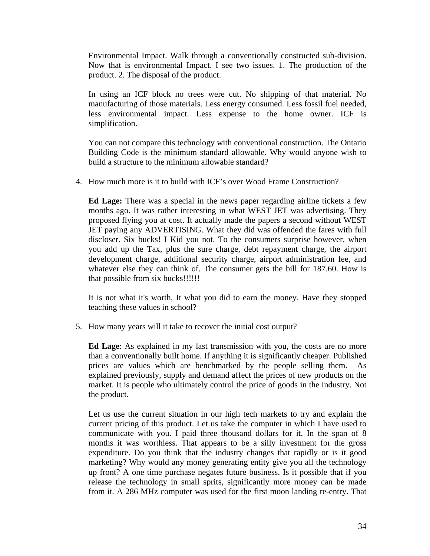Environmental Impact. Walk through a conventionally constructed sub-division. Now that is environmental Impact. I see two issues. 1. The production of the product. 2. The disposal of the product.

In using an ICF block no trees were cut. No shipping of that material. No manufacturing of those materials. Less energy consumed. Less fossil fuel needed, less environmental impact. Less expense to the home owner. ICF is simplification.

You can not compare this technology with conventional construction. The Ontario Building Code is the minimum standard allowable. Why would anyone wish to build a structure to the minimum allowable standard?

4. How much more is it to build with ICF's over Wood Frame Construction?

**Ed Lage:** There was a special in the news paper regarding airline tickets a few months ago. It was rather interesting in what WEST JET was advertising. They proposed flying you at cost. It actually made the papers a second without WEST JET paying any ADVERTISING. What they did was offended the fares with full discloser. Six bucks! I Kid you not. To the consumers surprise however, when you add up the Tax, plus the sure charge, debt repayment charge, the airport development charge, additional security charge, airport administration fee, and whatever else they can think of. The consumer gets the bill for 187.60. How is that possible from six bucks!!!!!!

It is not what it's worth, It what you did to earn the money. Have they stopped teaching these values in school?

5. How many years will it take to recover the initial cost output?

**Ed Lage**: As explained in my last transmission with you, the costs are no more than a conventionally built home. If anything it is significantly cheaper. Published prices are values which are benchmarked by the people selling them. As explained previously, supply and demand affect the prices of new products on the market. It is people who ultimately control the price of goods in the industry. Not the product.

Let us use the current situation in our high tech markets to try and explain the current pricing of this product. Let us take the computer in which I have used to communicate with you. I paid three thousand dollars for it. In the span of 8 months it was worthless. That appears to be a silly investment for the gross expenditure. Do you think that the industry changes that rapidly or is it good marketing? Why would any money generating entity give you all the technology up front? A one time purchase negates future business. Is it possible that if you release the technology in small sprits, significantly more money can be made from it. A 286 MHz computer was used for the first moon landing re-entry. That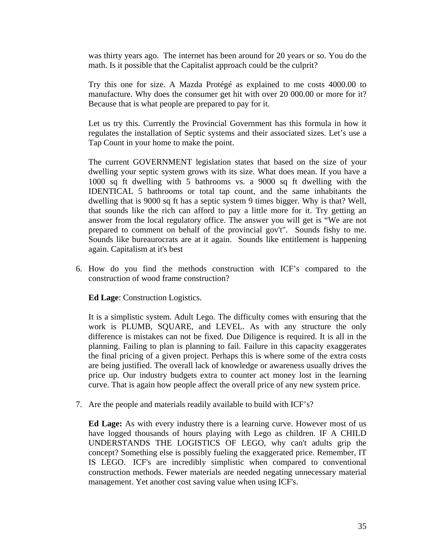was thirty years ago. The internet has been around for 20 years or so. You do the math. Is it possible that the Capitalist approach could be the culprit?

Try this one for size. A Mazda Protégé as explained to me costs 4000.00 to manufacture. Why does the consumer get hit with over 20 000.00 or more for it? Because that is what people are prepared to pay for it.

Let us try this. Currently the Provincial Government has this formula in how it regulates the installation of Septic systems and their associated sizes. Let's use a Tap Count in your home to make the point.

The current GOVERNMENT legislation states that based on the size of your dwelling your septic system grows with its size. What does mean. If you have a 1000 sq ft dwelling with 5 bathrooms vs. a 9000 sq ft dwelling with the IDENTICAL 5 bathrooms or total tap count, and the same inhabitants the dwelling that is 9000 sq ft has a septic system 9 times bigger. Why is that? Well, that sounds like the rich can afford to pay a little more for it. Try getting an answer from the local regulatory office. The answer you will get is "We are not prepared to comment on behalf of the provincial gov't". Sounds fishy to me. Sounds like bureaurocrats are at it again. Sounds like entitlement is happening again. Capitalism at it's best

6. How do you find the methods construction with ICF's compared to the construction of wood frame construction?

**Ed Lage**: Construction Logistics.

It is a simplistic system. Adult Lego. The difficulty comes with ensuring that the work is PLUMB, SQUARE, and LEVEL. As with any structure the only difference is mistakes can not be fixed. Due Diligence is required. It is all in the planning. Failing to plan is planning to fail. Failure in this capacity exaggerates the final pricing of a given project. Perhaps this is where some of the extra costs are being justified. The overall lack of knowledge or awareness usually drives the price up. Our industry budgets extra to counter act money lost in the learning curve. That is again how people affect the overall price of any new system price.

7. Are the people and materials readily available to build with ICF's?

**Ed Lage:** As with every industry there is a learning curve. However most of us have logged thousands of hours playing with Lego as children. IF A CHILD UNDERSTANDS THE LOGISTICS OF LEGO, why can't adults grip the concept? Something else is possibly fueling the exaggerated price. Remember, IT IS LEGO. ICF's are incredibly simplistic when compared to conventional construction methods. Fewer materials are needed negating unnecessary material management. Yet another cost saving value when using ICF's.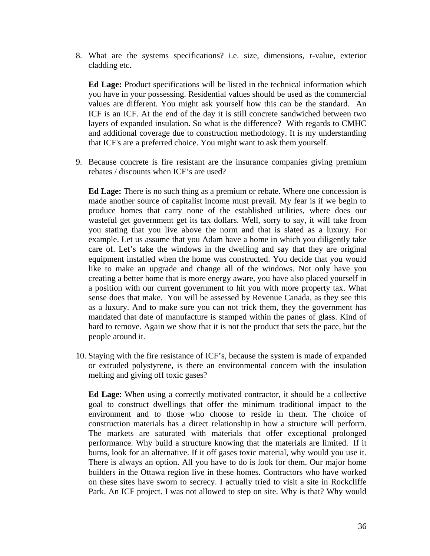8. What are the systems specifications? i.e. size, dimensions, r-value, exterior cladding etc.

**Ed Lage:** Product specifications will be listed in the technical information which you have in your possessing. Residential values should be used as the commercial values are different. You might ask yourself how this can be the standard. An ICF is an ICF. At the end of the day it is still concrete sandwiched between two layers of expanded insulation. So what is the difference? With regards to CMHC and additional coverage due to construction methodology. It is my understanding that ICF's are a preferred choice. You might want to ask them yourself.

9. Because concrete is fire resistant are the insurance companies giving premium rebates / discounts when ICF's are used?

**Ed Lage:** There is no such thing as a premium or rebate. Where one concession is made another source of capitalist income must prevail. My fear is if we begin to produce homes that carry none of the established utilities, where does our wasteful get government get its tax dollars. Well, sorry to say, it will take from you stating that you live above the norm and that is slated as a luxury. For example. Let us assume that you Adam have a home in which you diligently take care of. Let's take the windows in the dwelling and say that they are original equipment installed when the home was constructed. You decide that you would like to make an upgrade and change all of the windows. Not only have you creating a better home that is more energy aware, you have also placed yourself in a position with our current government to hit you with more property tax. What sense does that make. You will be assessed by Revenue Canada, as they see this as a luxury. And to make sure you can not trick them, they the government has mandated that date of manufacture is stamped within the panes of glass. Kind of hard to remove. Again we show that it is not the product that sets the pace, but the people around it.

10. Staying with the fire resistance of ICF's, because the system is made of expanded or extruded polystyrene, is there an environmental concern with the insulation melting and giving off toxic gases?

**Ed Lage**: When using a correctly motivated contractor, it should be a collective goal to construct dwellings that offer the minimum traditional impact to the environment and to those who choose to reside in them. The choice of construction materials has a direct relationship in how a structure will perform. The markets are saturated with materials that offer exceptional prolonged performance. Why build a structure knowing that the materials are limited. If it burns, look for an alternative. If it off gases toxic material, why would you use it. There is always an option. All you have to do is look for them. Our major home builders in the Ottawa region live in these homes. Contractors who have worked on these sites have sworn to secrecy. I actually tried to visit a site in Rockcliffe Park. An ICF project. I was not allowed to step on site. Why is that? Why would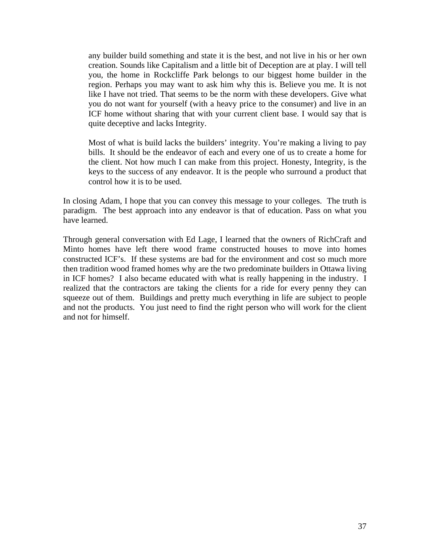any builder build something and state it is the best, and not live in his or her own creation. Sounds like Capitalism and a little bit of Deception are at play. I will tell you, the home in Rockcliffe Park belongs to our biggest home builder in the region. Perhaps you may want to ask him why this is. Believe you me. It is not like I have not tried. That seems to be the norm with these developers. Give what you do not want for yourself (with a heavy price to the consumer) and live in an ICF home without sharing that with your current client base. I would say that is quite deceptive and lacks Integrity.

Most of what is build lacks the builders' integrity. You're making a living to pay bills. It should be the endeavor of each and every one of us to create a home for the client. Not how much I can make from this project. Honesty, Integrity, is the keys to the success of any endeavor. It is the people who surround a product that control how it is to be used.

In closing Adam, I hope that you can convey this message to your colleges. The truth is paradigm. The best approach into any endeavor is that of education. Pass on what you have learned.

Through general conversation with Ed Lage, I learned that the owners of RichCraft and Minto homes have left there wood frame constructed houses to move into homes constructed ICF's. If these systems are bad for the environment and cost so much more then tradition wood framed homes why are the two predominate builders in Ottawa living in ICF homes? I also became educated with what is really happening in the industry. I realized that the contractors are taking the clients for a ride for every penny they can squeeze out of them. Buildings and pretty much everything in life are subject to people and not the products. You just need to find the right person who will work for the client and not for himself.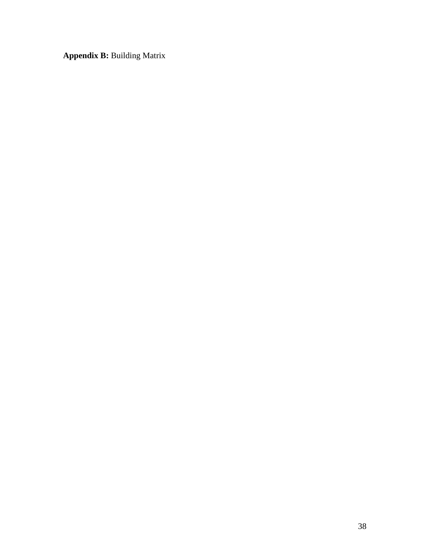**Appendix B:** Building Matrix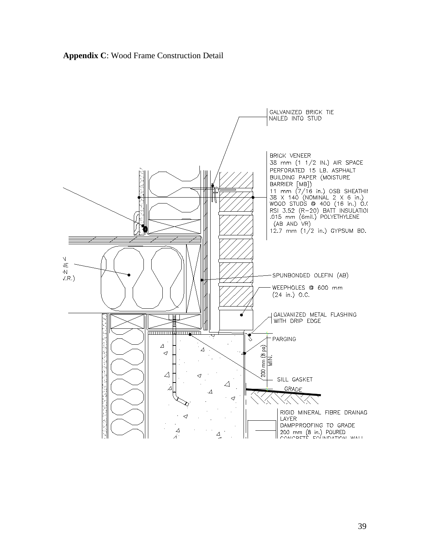